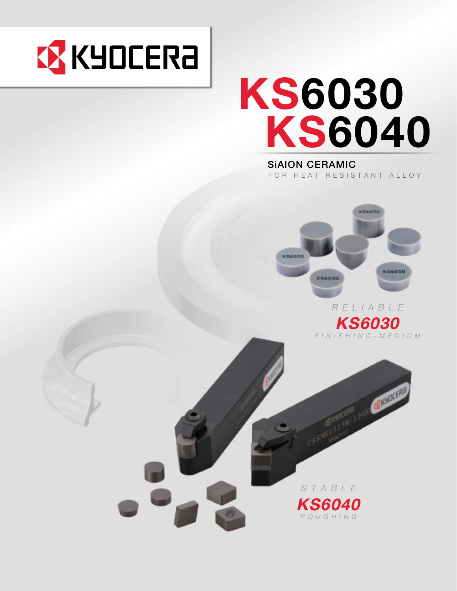

# **KS6030<br>KS6040**

SiAlON CERAMIC FOR HEAT RESISTANT ALLOY



RELIABLE **KS6030** FINISHING-MEDIUM



STABLE **KS6040** ROUGHING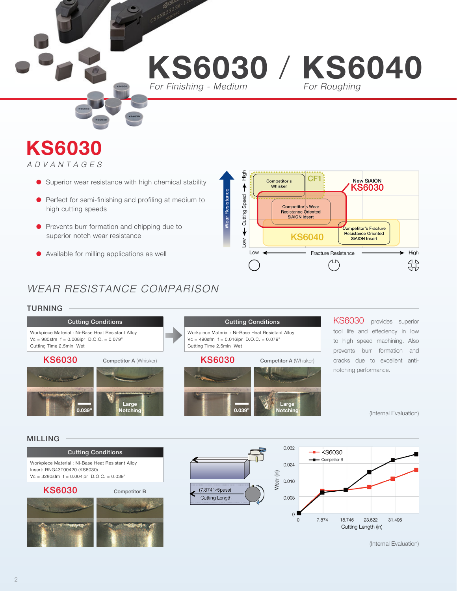# **KS6030 / KS6040**

For Finishing - Medium

# **KS6030** ADVANTAGES

- Superior wear resistance with high chemical stability
- � Perfect for semi-finishing and profiling at medium to high cutting speeds
- **•** Prevents burr formation and chipping due to superior notch wear resistance
- � Available for milling applications as well



# WEAR RESISTANCE COMPARISON

## TURNING

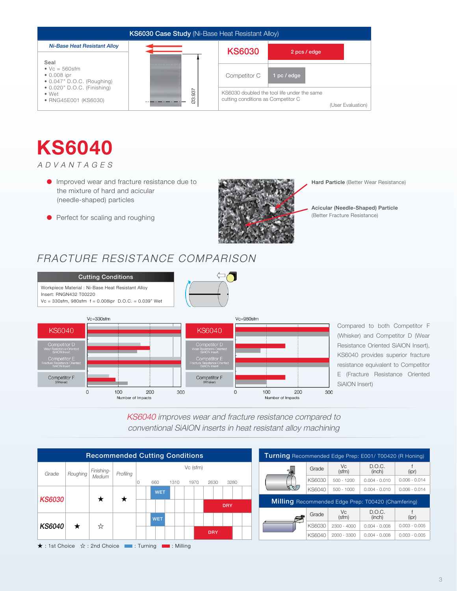

# **KS6040**

ADVANTAGES

- � Improved wear and fracture resistance due to the mixture of hard and acicular (needle-shaped) particles
- Perfect for scaling and roughing



Hard Particle (Better Wear Resistance)

Acicular (Needle-Shaped) Particle (Better Fracture Resistance)

# FRACTURE RESISTANCE COMPARISON



Compared to both Competitor F (Whisker) and Competitor D (Wear Resistance Oriented SiAlON Insert), KS6040 provides superior fracture resistance equivalent to Competitor E (Fracture Resistance Oriented SiAlON Insert)





| <b>Turning</b> Recommended Edge Prep: E001/ T00420 (R Honing) |        |                                  |                  |                 |  |  |  |  |  |  |  |
|---------------------------------------------------------------|--------|----------------------------------|------------------|-----------------|--|--|--|--|--|--|--|
|                                                               | Grade  | Vc.<br>(sfm)                     | D.O.C.<br>(inch) | (ipr)           |  |  |  |  |  |  |  |
|                                                               | KS6030 | $500 - 1200$                     | $0.004 - 0.010$  | $0.006 - 0.014$ |  |  |  |  |  |  |  |
|                                                               | KS6040 | $500 - 1000$                     | $0.004 - 0.010$  | $0.006 - 0.014$ |  |  |  |  |  |  |  |
| <b>Milling</b> Recommended Edge Prep: T00420 (Chamfering)     |        |                                  |                  |                 |  |  |  |  |  |  |  |
|                                                               | Grade  | D.O.C.<br>Vc.<br>(sfm)<br>(inch) |                  | (ipr)           |  |  |  |  |  |  |  |
|                                                               | KS6030 | $2300 - 4000$                    | $0.004 - 0.008$  | $0.003 - 0.005$ |  |  |  |  |  |  |  |
|                                                               | KS6040 | $2000 - 3300$                    | $0.004 - 0.008$  | $0.003 - 0.005$ |  |  |  |  |  |  |  |

**★** : 1st Choice ☆ : 2nd Choice **is a** : Turning **is a** : Milling